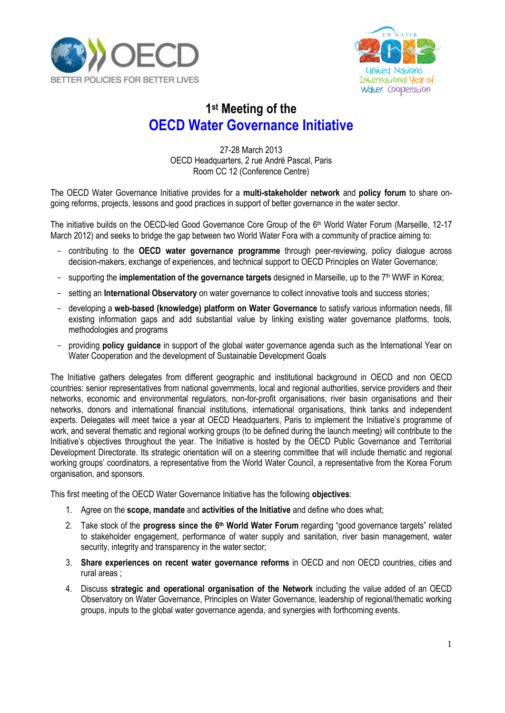



## **1 st Meeting of the OECD Water Governance Initiative**

27-28 March 2013 OECD Headquarters, 2 rue André Pascal, Paris Room CC 12 (Conference Centre)

The OECD Water Governance Initiative provides for a **multi-stakeholder network** and **policy forum** to share ongoing reforms, projects, lessons and good practices in support of better governance in the water sector.

The initiative builds on the OECD-led Good Governance Core Group of the 6<sup>th</sup> World Water Forum (Marseille, 12-17 March 2012) and seeks to bridge the gap between two World Water Fora with a community of practice aiming to:

- contributing to the **OECD water governance programme** through peer-reviewing, policy dialogue across decision-makers, exchange of experiences, and technical support to OECD Principles on Water Governance;
- supporting the **implementation of the governance targets** designed in Marseille, up to the 7th WWF in Korea;
- setting an **International Observatory** on water governance to collect innovative tools and success stories;
- developing a **web-based (knowledge) platform on Water Governance** to satisfy various information needs, fill existing information gaps and add substantial value by linking existing water governance platforms, tools, methodologies and programs
- providing **policy guidance** in support of the global water governance agenda such as the International Year on Water Cooperation and the development of Sustainable Development Goals

The Initiative gathers delegates from different geographic and institutional background in OECD and non OECD countries: senior representatives from national governments, local and regional authorities, service providers and their networks, economic and environmental regulators, non-for-profit organisations, river basin organisations and their networks, donors and international financial institutions, international organisations, think tanks and independent experts. Delegates will meet twice a year at OECD Headquarters, Paris to implement the Initiative's programme of work, and several thematic and regional working groups (to be defined during the launch meeting) will contribute to the Initiative's objectives throughout the year. The Initiative is hosted by the OECD Public Governance and Territorial Development Directorate. Its strategic orientation will on a steering committee that will include thematic and regional working groups' coordinators, a representative from the World Water Council, a representative from the Korea Forum organisation, and sponsors.

This first meeting of the OECD Water Governance Initiative has the following **objectives**:

- 1. Agree on the **scope, mandate** and **activities of the Initiative** and define who does what;
- 2. Take stock of the **progress since the 6 th World Water Forum** regarding "good governance targets" related to stakeholder engagement, performance of water supply and sanitation, river basin management, water security, integrity and transparency in the water sector;
- 3. **Share experiences on recent water governance reforms** in OECD and non OECD countries, cities and rural areas ;
- 4. Discuss **strategic and operational organisation of the Network** including the value added of an OECD Observatory on Water Governance, Principles on Water Governance, leadership of regional/thematic working groups, inputs to the global water governance agenda, and synergies with forthcoming events.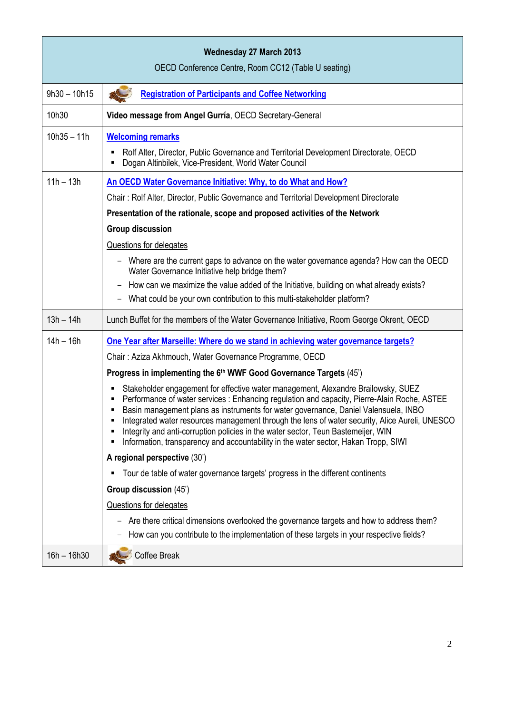| <b>Wednesday 27 March 2013</b><br>OECD Conference Centre, Room CC12 (Table U seating) |                                                                                                                                                                                                                                                                                                                                                                                                                                                                                                                                                                       |  |
|---------------------------------------------------------------------------------------|-----------------------------------------------------------------------------------------------------------------------------------------------------------------------------------------------------------------------------------------------------------------------------------------------------------------------------------------------------------------------------------------------------------------------------------------------------------------------------------------------------------------------------------------------------------------------|--|
| $9h30 - 10h15$                                                                        | <b>Registration of Participants and Coffee Networking</b>                                                                                                                                                                                                                                                                                                                                                                                                                                                                                                             |  |
| 10h30                                                                                 | Video message from Angel Gurría, OECD Secretary-General                                                                                                                                                                                                                                                                                                                                                                                                                                                                                                               |  |
| $10h35 - 11h$                                                                         | <b>Welcoming remarks</b><br>Rolf Alter, Director, Public Governance and Territorial Development Directorate, OECD<br>٠<br>Dogan Altinbilek, Vice-President, World Water Council                                                                                                                                                                                                                                                                                                                                                                                       |  |
| $11h - 13h$                                                                           | An OECD Water Governance Initiative: Why, to do What and How?                                                                                                                                                                                                                                                                                                                                                                                                                                                                                                         |  |
|                                                                                       | Chair: Rolf Alter, Director, Public Governance and Territorial Development Directorate                                                                                                                                                                                                                                                                                                                                                                                                                                                                                |  |
|                                                                                       | Presentation of the rationale, scope and proposed activities of the Network                                                                                                                                                                                                                                                                                                                                                                                                                                                                                           |  |
|                                                                                       | <b>Group discussion</b>                                                                                                                                                                                                                                                                                                                                                                                                                                                                                                                                               |  |
|                                                                                       | Questions for delegates                                                                                                                                                                                                                                                                                                                                                                                                                                                                                                                                               |  |
|                                                                                       | - Where are the current gaps to advance on the water governance agenda? How can the OECD<br>Water Governance Initiative help bridge them?                                                                                                                                                                                                                                                                                                                                                                                                                             |  |
|                                                                                       | How can we maximize the value added of the Initiative, building on what already exists?<br>—                                                                                                                                                                                                                                                                                                                                                                                                                                                                          |  |
|                                                                                       | What could be your own contribution to this multi-stakeholder platform?<br>$\qquad \qquad -$                                                                                                                                                                                                                                                                                                                                                                                                                                                                          |  |
| $13h - 14h$                                                                           | Lunch Buffet for the members of the Water Governance Initiative, Room George Okrent, OECD                                                                                                                                                                                                                                                                                                                                                                                                                                                                             |  |
| $14h - 16h$                                                                           | One Year after Marseille: Where do we stand in achieving water governance targets?                                                                                                                                                                                                                                                                                                                                                                                                                                                                                    |  |
|                                                                                       | Chair: Aziza Akhmouch, Water Governance Programme, OECD                                                                                                                                                                                                                                                                                                                                                                                                                                                                                                               |  |
|                                                                                       | Progress in implementing the 6th WWF Good Governance Targets (45')                                                                                                                                                                                                                                                                                                                                                                                                                                                                                                    |  |
|                                                                                       | Stakeholder engagement for effective water management, Alexandre Brailowsky, SUEZ<br>٠<br>Performance of water services : Enhancing regulation and capacity, Pierre-Alain Roche, ASTEE<br>Basin management plans as instruments for water governance, Daniel Valensuela, INBO<br>п<br>Integrated water resources management through the lens of water security, Alice Aureli, UNESCO<br>٠<br>Integrity and anti-corruption policies in the water sector, Teun Bastemeijer, WIN<br>Information, transparency and accountability in the water sector, Hakan Tropp, SIWI |  |
|                                                                                       | A regional perspective (30')                                                                                                                                                                                                                                                                                                                                                                                                                                                                                                                                          |  |
|                                                                                       | Tour de table of water governance targets' progress in the different continents<br>٠                                                                                                                                                                                                                                                                                                                                                                                                                                                                                  |  |
|                                                                                       | Group discussion (45')                                                                                                                                                                                                                                                                                                                                                                                                                                                                                                                                                |  |
|                                                                                       | Questions for delegates                                                                                                                                                                                                                                                                                                                                                                                                                                                                                                                                               |  |
|                                                                                       | Are there critical dimensions overlooked the governance targets and how to address them?<br>-<br>How can you contribute to the implementation of these targets in your respective fields?                                                                                                                                                                                                                                                                                                                                                                             |  |
| $16h - 16h30$                                                                         | Coffee Break                                                                                                                                                                                                                                                                                                                                                                                                                                                                                                                                                          |  |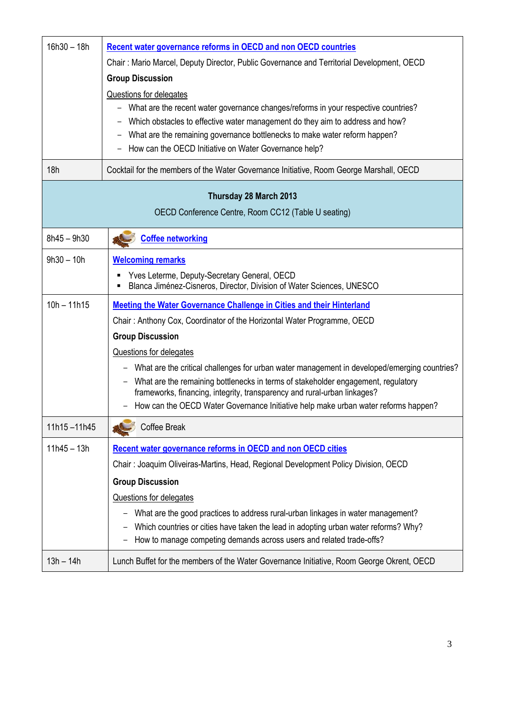| $16h30 - 18h$                                                                 | Recent water governance reforms in OECD and non OECD countries<br>Chair: Mario Marcel, Deputy Director, Public Governance and Territorial Development, OECD<br><b>Group Discussion</b><br>Questions for delegates<br>What are the recent water governance changes/reforms in your respective countries?<br>Which obstacles to effective water management do they aim to address and how?<br>What are the remaining governance bottlenecks to make water reform happen?<br>How can the OECD Initiative on Water Governance help?                                                                       |  |
|-------------------------------------------------------------------------------|-------------------------------------------------------------------------------------------------------------------------------------------------------------------------------------------------------------------------------------------------------------------------------------------------------------------------------------------------------------------------------------------------------------------------------------------------------------------------------------------------------------------------------------------------------------------------------------------------------|--|
| 18h                                                                           | Cocktail for the members of the Water Governance Initiative, Room George Marshall, OECD                                                                                                                                                                                                                                                                                                                                                                                                                                                                                                               |  |
| Thursday 28 March 2013<br>OECD Conference Centre, Room CC12 (Table U seating) |                                                                                                                                                                                                                                                                                                                                                                                                                                                                                                                                                                                                       |  |
| $8h45 - 9h30$                                                                 | <b>Coffee networking</b>                                                                                                                                                                                                                                                                                                                                                                                                                                                                                                                                                                              |  |
| $9h30 - 10h$                                                                  | <b>Welcoming remarks</b><br>Yves Leterme, Deputy-Secretary General, OECD<br>Blanca Jiménez-Cisneros, Director, Division of Water Sciences, UNESCO                                                                                                                                                                                                                                                                                                                                                                                                                                                     |  |
| $10h - 11h15$                                                                 | <b>Meeting the Water Governance Challenge in Cities and their Hinterland</b><br>Chair: Anthony Cox, Coordinator of the Horizontal Water Programme, OECD<br><b>Group Discussion</b><br>Questions for delegates<br>What are the critical challenges for urban water management in developed/emerging countries?<br>-<br>What are the remaining bottlenecks in terms of stakeholder engagement, regulatory<br>$\overline{\phantom{0}}$<br>frameworks, financing, integrity, transparency and rural-urban linkages?<br>How can the OECD Water Governance Initiative help make urban water reforms happen? |  |
| 11h15-11h45                                                                   | Coffee Break                                                                                                                                                                                                                                                                                                                                                                                                                                                                                                                                                                                          |  |
| $11h45 - 13h$                                                                 | <b>Recent water governance reforms in OECD and non OECD cities</b><br>Chair: Joaquim Oliveiras-Martins, Head, Regional Development Policy Division, OECD<br><b>Group Discussion</b><br>Questions for delegates<br>What are the good practices to address rural-urban linkages in water management?<br>Which countries or cities have taken the lead in adopting urban water reforms? Why?<br>How to manage competing demands across users and related trade-offs?                                                                                                                                     |  |
| $13h - 14h$                                                                   | Lunch Buffet for the members of the Water Governance Initiative, Room George Okrent, OECD                                                                                                                                                                                                                                                                                                                                                                                                                                                                                                             |  |